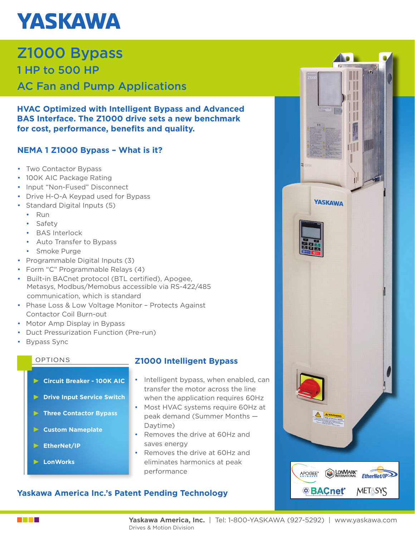# **YASKAWA**

### Z1000 Bypass 1 HP to 500 HP AC Fan and Pump Applications

**HVAC Optimized with Intelligent Bypass and Advanced BAS Interface. The Z1000 drive sets a new benchmark for cost, performance, benefits and quality.**

#### **NEMA 1 Z1000 Bypass – What is it?**

- Two Contactor Bypass
- 100K AIC Package Rating
- Input "Non-Fused" Disconnect
- Drive H-O-A Keypad used for Bypass
- Standard Digital Inputs (5)
	- Run
	- Safety
	- BAS Interlock
	- Auto Transfer to Bypass
	- Smoke Purge
- Programmable Digital Inputs (3)
- Form "C" Programmable Relays (4)
- Built-in BACnet protocol (BTL certified), Apogee, Metasys, Modbus/Memobus accessible via RS-422/485 communication, which is standard
- Phase Loss & Low Voltage Monitor Protects Against Contactor Coil Burn-out
- Motor Amp Display in Bypass
- Duct Pressurization Function (Pre-run)
- Bypass Sync

- **Circuit Breaker 100K AIC**
- **Drive Input Service Switch**
- **Three Contactor Bypass**
- **Custom Nameplate**
- **EtherNet/IP**
- **LonWorks**

#### OPTIONS **Z1000 Intelligent Bypass**

- Intelligent bypass, when enabled, can transfer the motor across the line when the application requires 60Hz
- Most HVAC systems require 60Hz at peak demand (Summer Months — Daytime)
- Removes the drive at 60Hz and saves energy
- Removes the drive at 60Hz and eliminates harmonics at peak performance

#### **Yaskawa America Inc.'s Patent Pending Technology**